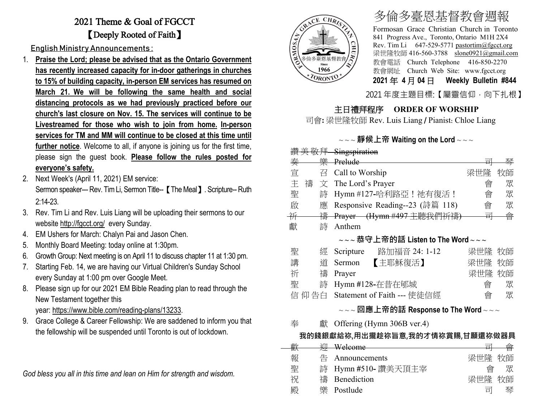## 2021 Theme & Goal of FGCCT 【Deeply Rooted of Faith】

English Ministry Announcements :

- 1. **Praise the Lord; please be advised that as the Ontario Government has recently increased capacity for in-door gatherings in churches to 15% of building capacity, in-person EM services has resumed on March 21. We will be following the same health and social distancing protocols as we had previously practiced before our church's last closure on Nov. 15. The services will continue to be Livestreamed for those who wish to join from home. In-person services for TM and MM will continue to be closed at this time until further notice**. Welcome to all, if anyone is joining us for the first time, please sign the guest book. **Please follow the rules posted for everyone's safety.**
- 2. Next Week's (April 11, 2021) EM service: Sermon speaker--- Rev. Tim Li, Sermon Title-- 【The Meal】. Scripture-- Ruth 2:14-23.
- 3. Rev. Tim Li and Rev. Luis Liang will be uploading their sermons to our website <http://fgcct.org/>every Sunday.
- 4. EM Ushers for March: Chalyn Pai and Jason Chen.
- 5. Monthly Board Meeting: today online at 1:30pm.
- 6. Growth Group: Next meeting is on April 11 to discuss chapter 11 at 1:30 pm.
- 7. Starting Feb. 14, we are having our Virtual Children's Sunday School every Sunday at 1:00 pm over Google Meet.
- 8. Please sign up for our 2021 EM Bible Reading plan to read through the New Testament together this year: [https://www.bible.com/reading-plans/13233.](https://www.bible.com/reading-plans/13233)
- 9. Grace College & Career Fellowship: We are saddened to inform you that the fellowship will be suspended until Toronto is out of lockdown.

*God bless you all in this time and lean on Him for strength and wisdom.*



# 多倫多臺恩基督教會週報

Formosan Grace Christian Church in Toronto 841 Progress Ave., Toronto, Ontario M1H 2X4 Rev. Tim Li 647-529-5771 [pastortim@fgcct.org](mailto:pastortim@fgcct.org) 梁世隆牧師 416-560-3788 slone0921@gmail.com 教會電話 Church Telephone 416-850-2270 教會網址 Church Web Site: www.fgcct.org **2021** 年 **4** 月 **04** 日 **Weekly Bulletin #844** 

2021 年度主題目標:【屬靈信仰,向下扎根】

### 主日禮拜程序 **ORDER OF WORSHIP**

司會**:** 梁世隆牧師 Rev. Luis Liang / Pianist: Chloe Liang

#### ~ ~ ~ **靜候上帝 Waiting on the Lord** ~ ~ ~

|   |        | 讚美敬拜 Singspiration |                                      |        |    |
|---|--------|--------------------|--------------------------------------|--------|----|
| 秦 |        | 樂 Prelude          |                                      | 宣      | 苳  |
| 宣 | 召      | Call to Worship    |                                      | 梁世隆    | 牧師 |
| 主 | 禱<br>文 | The Lord's Prayer  |                                      | 會      | 眾  |
| 聖 | 詩      |                    | Hymn #127-哈利路亞!祂有復活!                 | 會      | 眾  |
| 啟 | 應      |                    | Responsive Reading--23 (詩篇 118)      | 會      | 眾  |
| 并 | 禱      |                    | Prayer (Hymn #497 主聽我們祈禱)            | 쿜      | 會  |
| 獻 | 詩      | Anthem             |                                      |        |    |
|   |        |                    | $\sim$ ~恭守上帝的話 Listen to The Word~~~ |        |    |
| 聖 | 經      | Scripture          | 路加福音 24: 1-12                        | 梁世隆 牧師 |    |
| 講 | 道      | Sermon             | 【主耶穌復活】                              | 梁世隆    | 牧師 |
| 祈 | 禱      | Prayer             |                                      | 梁世隆    | 牧師 |
| 聖 | 詩      |                    | Hymn #128-在昔在郇城                      | 會      | 眾  |
|   | 仰告白    |                    | Statement of Faith --- 使徒信經          | 會      | 眾  |
|   |        |                    |                                      |        |    |

#### ~ ~ ~ **回應上帝的話 Response to The Word** ~ ~ ~

奉 獻 Offering (Hymn 306B ver.4)

#### **我的錢銀獻給祢,用出攏趁祢旨意,我的才情祢賞賜,甘願還祢做器具**

| 亜布 |   | Welcome            | $\overline{ }$ |    |
|----|---|--------------------|----------------|----|
| 俚人 |   |                    |                |    |
| 報  | 告 | Announcements      | 梁世隆            | 牧師 |
| 聖  |   | 詩 Hymn #510-讚美天頂主宰 | 凾              |    |
| 祝  |   | 禱 Benediction      | 梁世隆            | 牧師 |
| 殿  | 卛 | Postlude           | 宣              | 琴  |